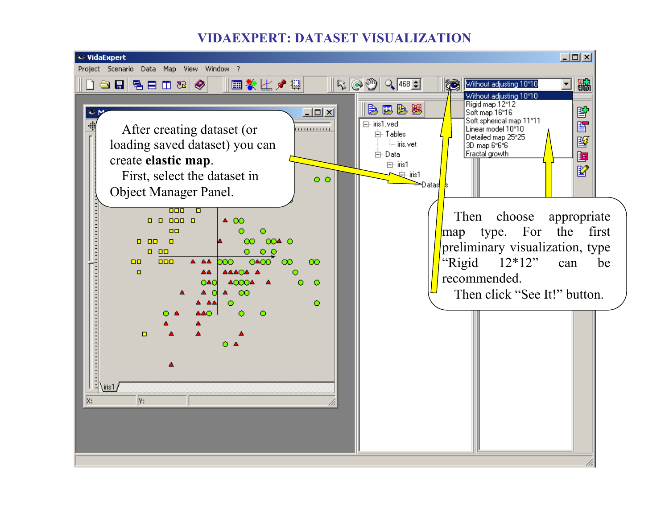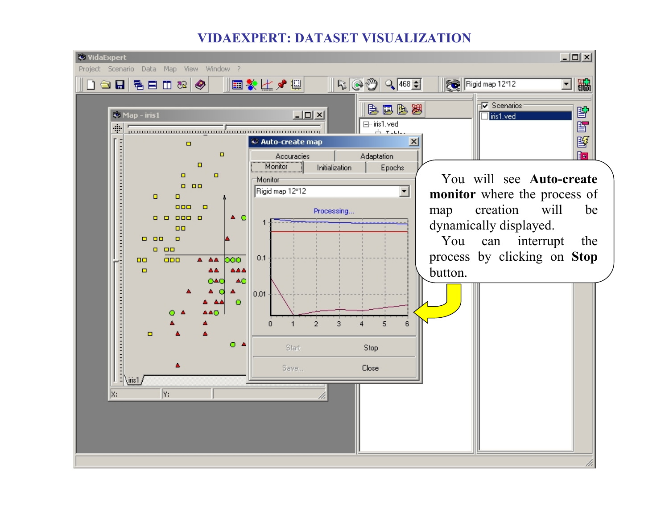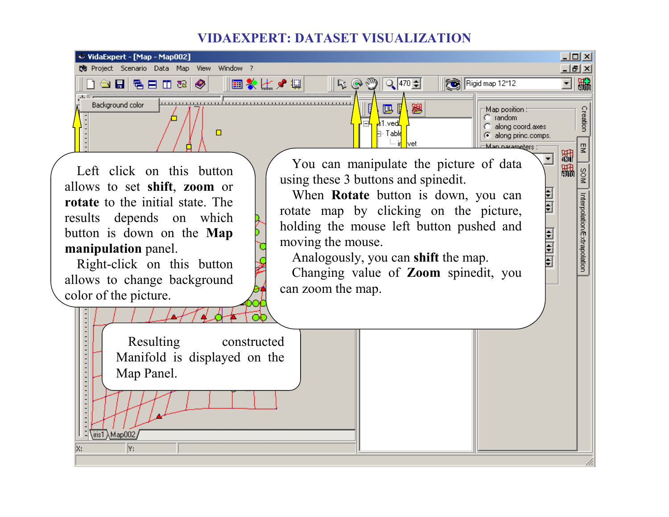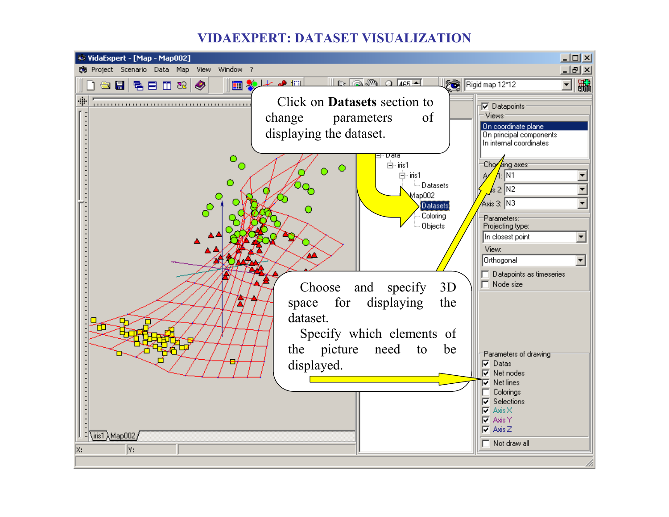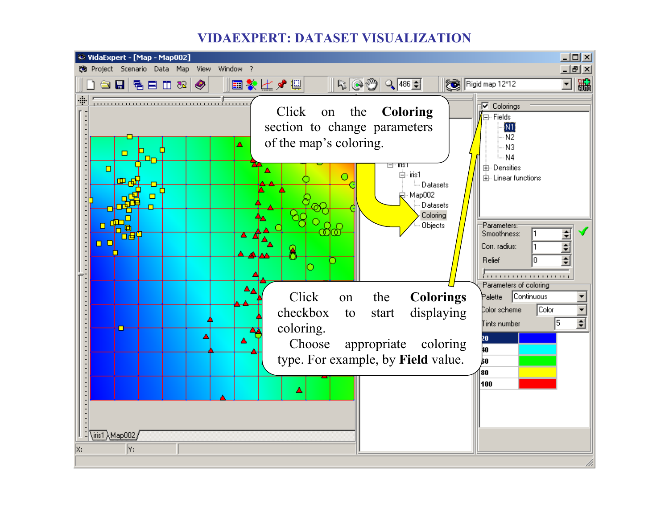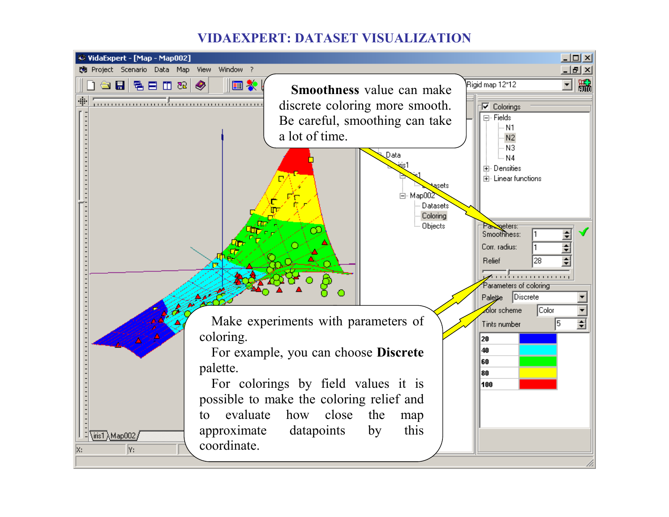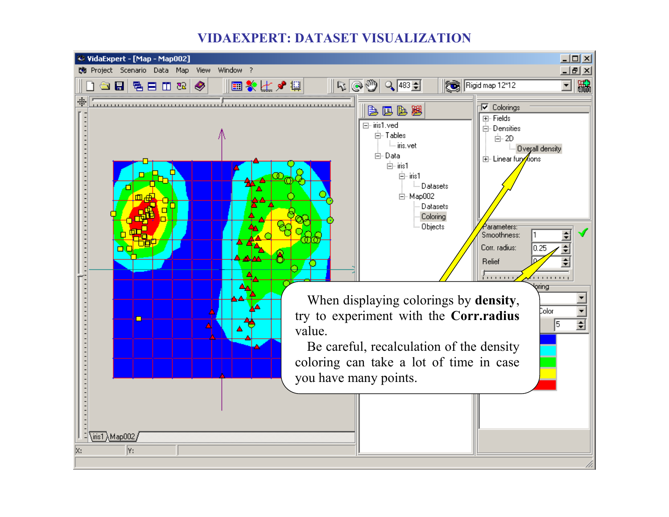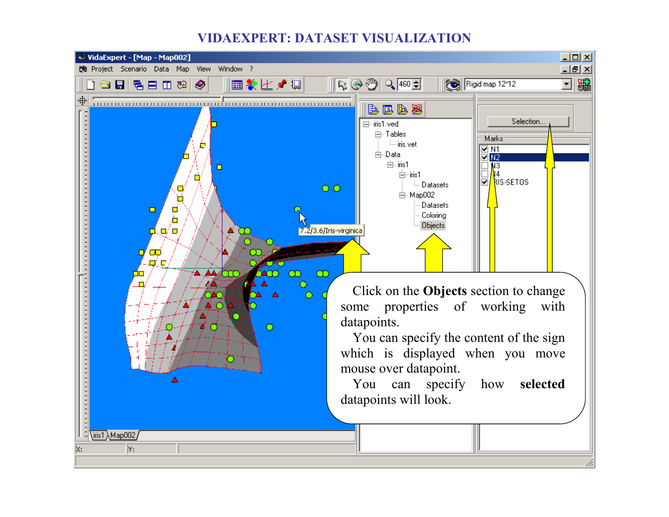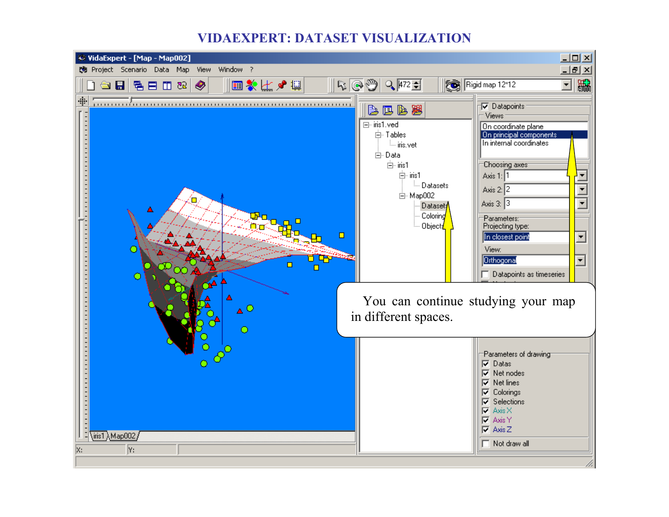| Window ?<br><u>니레지</u><br>View<br><b>(6</b> Project Scenario Data Map<br>国鵬<br> ଋ ⊛ ®  ९  <u>07∄ </u><br>Rigid map 12*12<br>国家比卢里<br>$\blacksquare$<br>暑目田怨<br>◈<br>¢<br>$\neg \nabla$ Datapoints<br>与国国盟<br>-Views:<br>⊟- iris1.ved<br>On coordinate plane<br>On principal components<br><b>⊟்</b> Tables<br>In internal coordinates<br><sub>i</sub> iris, vet<br>Ė⊢Data<br>Choosing axes <sup>-</sup><br>$\overline{\Box}$ iris1<br>$\overline{\Box}$ iris1<br>Axis $1:$ 1<br><b>E</b> Datasets<br>Axis $2:$ 2<br>Ė- Мар002<br>Axis 3: 3<br>▼<br>Dataset<br>▲<br>Coloring<br>⊓⊾⊓<br>Parameters:<br>Object:<br>Projecting type:<br>$\Box$<br>In closest point<br>$\overline{\phantom{a}}$<br>View:<br>$\overline{\phantom{0}}$<br>Orthogonal<br>▫<br>п<br>Datapoints as timeseries<br>You can continue studying your map<br>$\triangle$ <sup>O</sup><br>in different spaces.<br>Ο<br>OO<br>Parameters of drawing<br>$\nabla$ Datas<br>∩<br>$\nabla$ Net nodes<br>$\nabla$ Net lines<br><b>V</b> Colorings<br>$\nabla$ Selections | <u> - 미지</u><br>VidaExpert - [Map - Map002] |  |                 |  |
|-----------------------------------------------------------------------------------------------------------------------------------------------------------------------------------------------------------------------------------------------------------------------------------------------------------------------------------------------------------------------------------------------------------------------------------------------------------------------------------------------------------------------------------------------------------------------------------------------------------------------------------------------------------------------------------------------------------------------------------------------------------------------------------------------------------------------------------------------------------------------------------------------------------------------------------------------------------------------------------------------------------------------------------|---------------------------------------------|--|-----------------|--|
|                                                                                                                                                                                                                                                                                                                                                                                                                                                                                                                                                                                                                                                                                                                                                                                                                                                                                                                                                                                                                                   |                                             |  |                 |  |
|                                                                                                                                                                                                                                                                                                                                                                                                                                                                                                                                                                                                                                                                                                                                                                                                                                                                                                                                                                                                                                   |                                             |  |                 |  |
| $\nabla$ Axis Y<br>$\nabla$ Axis Z<br>$\overline{\textrm{m}3}$ Map $002/$<br>Not draw all<br>$\vert$ Y:<br>k:                                                                                                                                                                                                                                                                                                                                                                                                                                                                                                                                                                                                                                                                                                                                                                                                                                                                                                                     |                                             |  | $\nabla$ Axis X |  |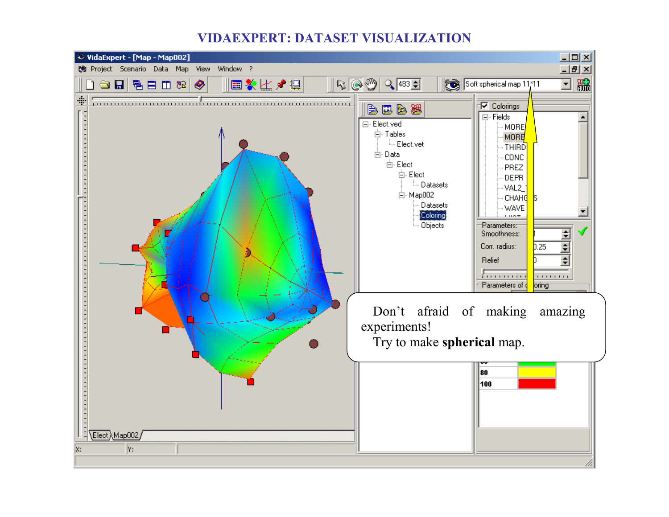